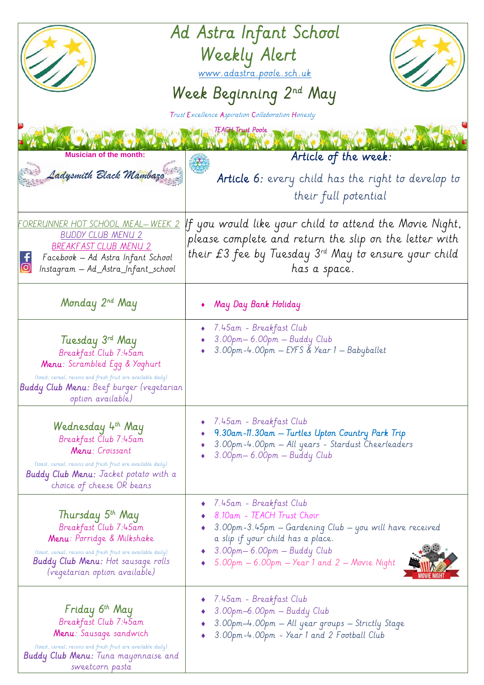| Ad Astra Infant School<br>Weekly Alert<br>www.adastra.poole.sch.uk<br>Week Beginning 2nd May<br>Trust Excellence Aspiration Collaboration Honesty                                                                                 |                                                                                                                                                                                                                                                         |
|-----------------------------------------------------------------------------------------------------------------------------------------------------------------------------------------------------------------------------------|---------------------------------------------------------------------------------------------------------------------------------------------------------------------------------------------------------------------------------------------------------|
| <b>Musician of the month:</b>                                                                                                                                                                                                     | <b>TEACH Trust Poole</b><br>Article of the week:                                                                                                                                                                                                        |
| Ladysmith Black Mambaza                                                                                                                                                                                                           | Article 6: every child has the right to develop to<br>their full potential                                                                                                                                                                              |
| FORERUNNER HOT SCHOOL MEAL— WEEK 2<br><b>BUDDY CLUB MENU 2</b><br>BREAKFAST CLUB MENU 2<br>Facebook - Ad Astra Infant School<br>Instagram — Ad_Astra_Infant_school                                                                | $\parallel f$ you would like your child to attend the Movie Night,<br>please complete and return the slip on the letter with<br>their £3 fee by Tuesday $3^{rd}$ May to ensure your child<br>has a space.                                               |
| Monday 2 <sup>nd</sup> May                                                                                                                                                                                                        | May Day Bank Holiday                                                                                                                                                                                                                                    |
| Tuesday 3rd May<br>Breakfast Club 7:45am<br>Menu: Scrambled Egg & Yoghurt<br>(toast, cereal, raisins and fresh fruit are available daily)<br>Buddy Club Menu: Beef burger (vegetarian<br>option available)                        | • 7.45am - Breakfast Club<br>3.00pm-6.00pm - Buddy Club<br>3.00pm-4.00pm - EYFS & Year 1 - Babyballet                                                                                                                                                   |
| Wednesday 4th May<br>Breakfast Club 7:45am<br>Menu: Croissant<br>(toast, cereal, raisins and fresh fruit are available daily)<br><b>Buddy Club Menu:</b> Jacket potato with a<br>choice of cheese OR beans                        | 7.45am - Breakfast Club<br>9.30am-11.30am - Turtles Upton Country Park Trip<br>3.00pm-4.00pm - All years - Stardust Cheerleaders<br>3.00pm - 6.00pm - Buddy Club                                                                                        |
| Thursday 5 <sup>th</sup> May<br>Breakfast Club 7:45am<br>Menu: Porridge & Milkshake<br>(toast, cereal, raisins and fresh fruit are available daily)<br><b>Buddy Club Menu:</b> Hot sausage rolls<br>(vegetarian option available) | $\bullet$ 7.45am - Breakfast Club<br>8.10am - TEACH Trust Choir<br>3.00pm-3.45pm - Gardening Club - you will have received<br>a slip if your child has a place.<br>3.00pm— 6.00pm — Buddy Club<br>$5.00$ pm $-6.00$ pm $-$ Year 1 and 2 $-$ Movie Night |
| Friday 6 <sup>th</sup> May<br>Breakfast Club 7:45am<br>Menu: Sausage sandwich<br>(toast, cereal, raisins and fresh fruit are available daily)<br><b>Buddy Club Menu:</b> Tuna mayonnaise and<br>sweetcorn pasta                   | 7.45am - Breakfast Club<br>3.00pm-6.00pm - Buddy Club<br>3.00pm-4.00pm - All year groups - Strictly Stage<br>3.00pm-4.00pm - Year 1 and 2 Football Club                                                                                                 |